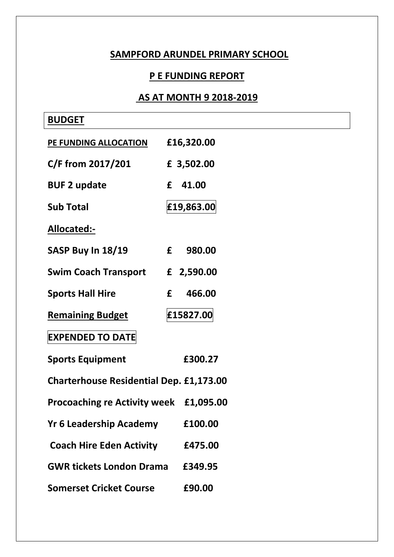## **SAMPFORD ARUNDEL PRIMARY SCHOOL**

## **P E FUNDING REPORT**

## **AS AT MONTH 9 2018-2019**

| <b>BUDGET</b>                                  |             |
|------------------------------------------------|-------------|
| PE FUNDING ALLOCATION                          | £16,320.00  |
| C/F from 2017/201                              | £ 3,502.00  |
| <b>BUF 2 update</b>                            | £<br>41.00  |
| <b>Sub Total</b>                               | £19,863.00  |
| Allocated:-                                    |             |
| SASP Buy In 18/19                              | f<br>980.00 |
| <b>Swim Coach Transport</b>                    | £ 2,590.00  |
| <b>Sports Hall Hire</b>                        | 466.00<br>£ |
| <b>Remaining Budget</b>                        | £15827.00   |
| <b>EXPENDED TO DATE</b>                        |             |
| <b>Sports Equipment</b>                        | £300.27     |
| <b>Charterhouse Residential Dep. £1,173.00</b> |             |
| Procoaching re Activity week £1,095.00         |             |
| <b>Yr 6 Leadership Academy</b>                 | £100.00     |
| <b>Coach Hire Eden Activity</b>                | £475.00     |
| <b>GWR tickets London Drama</b>                | £349.95     |
| <b>Somerset Cricket Course</b>                 | £90.00      |